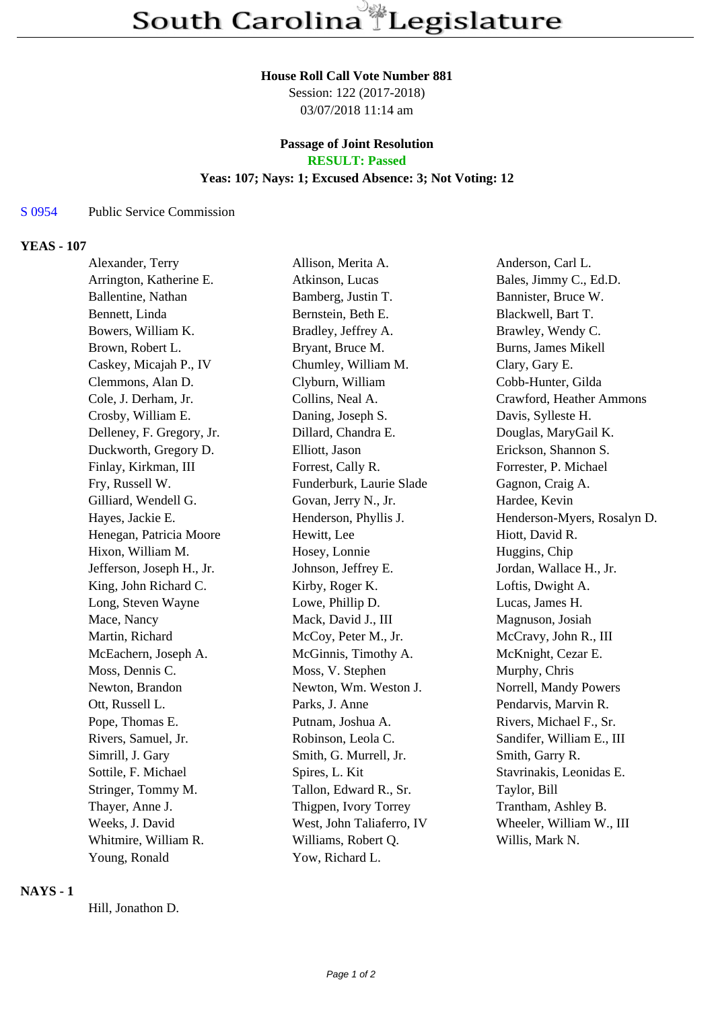## **House Roll Call Vote Number 881**

Session: 122 (2017-2018) 03/07/2018 11:14 am

# **Passage of Joint Resolution**

**RESULT: Passed**

## **Yeas: 107; Nays: 1; Excused Absence: 3; Not Voting: 12**

## S 0954 Public Service Commission

#### **YEAS - 107**

| Alexander, Terry          | Allison, Merita A.        | Anderson, Carl L.           |
|---------------------------|---------------------------|-----------------------------|
| Arrington, Katherine E.   | Atkinson, Lucas           | Bales, Jimmy C., Ed.D.      |
| Ballentine, Nathan        | Bamberg, Justin T.        | Bannister, Bruce W.         |
| Bennett, Linda            | Bernstein, Beth E.        | Blackwell, Bart T.          |
| Bowers, William K.        | Bradley, Jeffrey A.       | Brawley, Wendy C.           |
| Brown, Robert L.          | Bryant, Bruce M.          | Burns, James Mikell         |
| Caskey, Micajah P., IV    | Chumley, William M.       | Clary, Gary E.              |
| Clemmons, Alan D.         | Clyburn, William          | Cobb-Hunter, Gilda          |
| Cole, J. Derham, Jr.      | Collins, Neal A.          | Crawford, Heather Ammons    |
| Crosby, William E.        | Daning, Joseph S.         | Davis, Sylleste H.          |
| Delleney, F. Gregory, Jr. | Dillard, Chandra E.       | Douglas, MaryGail K.        |
| Duckworth, Gregory D.     | Elliott, Jason            | Erickson, Shannon S.        |
| Finlay, Kirkman, III      | Forrest, Cally R.         | Forrester, P. Michael       |
| Fry, Russell W.           | Funderburk, Laurie Slade  | Gagnon, Craig A.            |
| Gilliard, Wendell G.      | Govan, Jerry N., Jr.      | Hardee, Kevin               |
| Hayes, Jackie E.          | Henderson, Phyllis J.     | Henderson-Myers, Rosalyn D. |
| Henegan, Patricia Moore   | Hewitt, Lee               | Hiott, David R.             |
| Hixon, William M.         | Hosey, Lonnie             | Huggins, Chip               |
| Jefferson, Joseph H., Jr. | Johnson, Jeffrey E.       | Jordan, Wallace H., Jr.     |
| King, John Richard C.     | Kirby, Roger K.           | Loftis, Dwight A.           |
| Long, Steven Wayne        | Lowe, Phillip D.          | Lucas, James H.             |
| Mace, Nancy               | Mack, David J., III       | Magnuson, Josiah            |
| Martin, Richard           | McCoy, Peter M., Jr.      | McCravy, John R., III       |
| McEachern, Joseph A.      | McGinnis, Timothy A.      | McKnight, Cezar E.          |
| Moss, Dennis C.           | Moss, V. Stephen          | Murphy, Chris               |
| Newton, Brandon           | Newton, Wm. Weston J.     | Norrell, Mandy Powers       |
| Ott, Russell L.           | Parks, J. Anne            | Pendarvis, Marvin R.        |
| Pope, Thomas E.           | Putnam, Joshua A.         | Rivers, Michael F., Sr.     |
| Rivers, Samuel, Jr.       | Robinson, Leola C.        | Sandifer, William E., III   |
| Simrill, J. Gary          | Smith, G. Murrell, Jr.    | Smith, Garry R.             |
| Sottile, F. Michael       | Spires, L. Kit            | Stavrinakis, Leonidas E.    |
| Stringer, Tommy M.        | Tallon, Edward R., Sr.    | Taylor, Bill                |
| Thayer, Anne J.           | Thigpen, Ivory Torrey     | Trantham, Ashley B.         |
| Weeks, J. David           | West, John Taliaferro, IV | Wheeler, William W., III    |
| Whitmire, William R.      | Williams, Robert Q.       | Willis, Mark N.             |
| Young, Ronald             | Yow, Richard L.           |                             |

# **NAYS - 1**

Hill, Jonathon D.